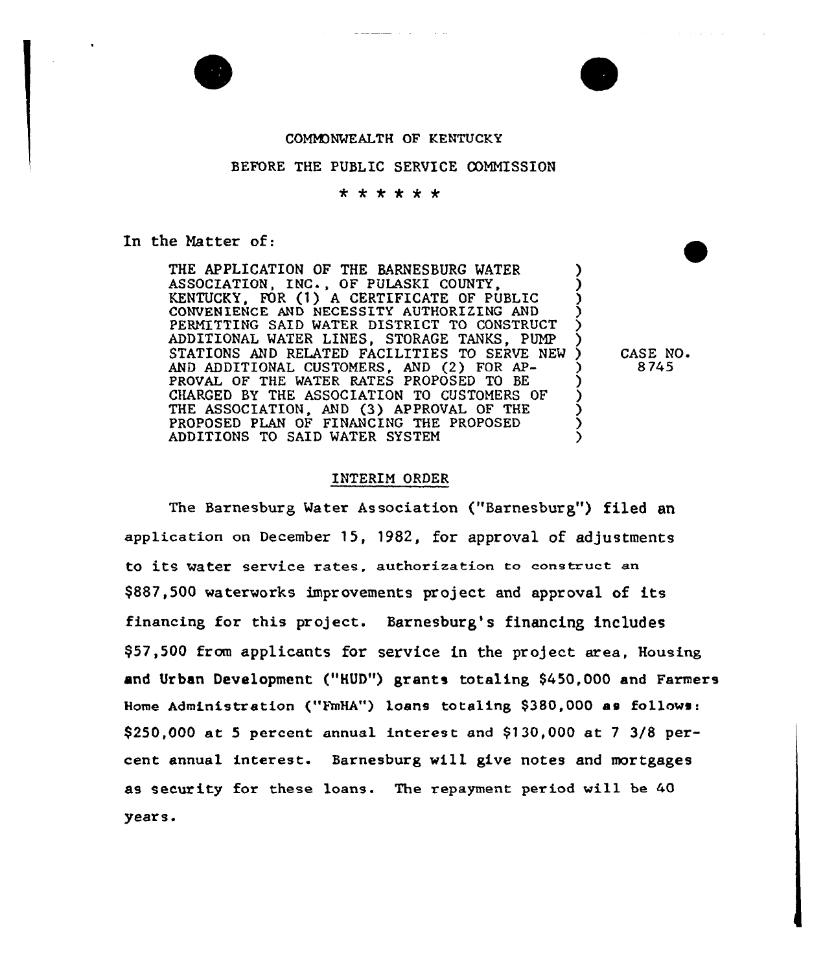

## COMM)NWEALTH OF KENTUCKY

## BEFORE THE PUBLIC SERVICE COMMISSION<br> $\star \star \star \star \star \star$

In the Matter of:

THE APPLICATION OF THE BARNESBURG WATER ASSOCIATION, INC., OF PULASKI COUNTY, KENTUCKY, FOR (1) A CERTIFICATE OF PUBLIC CONVENIENCE AND NECESSITY AUTHORIZING AND ) PERMITTING SAID WATER DISTRICT TO CONSTRUCT ADDITIONAL WATER LINES, STORAGE TANKS. PUMP STATIONS AND RELATED FACILITIES TO SERVE NEW AND ADDITIONAL CUSTOMERS, AND (2) FOR AP- 3 PROVAL OF THE WATER RATES PROPOSED TO BE ) CHARGED BY THE ASSOCIATION TO CUSTOMERS OF THE ASSOCIATION, AND (3) APPROVAL OF THE  $\left( \begin{array}{cc} 3 & 0 \end{array} \right)$ PROPOSED PLAN OF FINANCING THE PROPOSED  $\sum_{i=1}^{n}$ ADDITIONS TO SAID WATER SYSTEM

CASE NO. 8 745

## INTERIM ORDER

The Barnesburg Water Association ("Barnesburg"} filed an application on December 15, 1982, for approval of adjustments to its water service rates, authorization to construct an \$887,500 waterworks improvements project and approval of its financing for this project. Barnesburg's financing includes 957,500 from applicants for service in the project area, Housing and Urban Development {"HUD"} grants totaling S450,000 and Farmers Home Administration ("FmHA") loans totaling \$380,000 as follows:  $$250,000$  at 5 percent annual interest and  $$130,000$  at 7 3/8 percent annual interest. Barnesburg will give notes and mortgages as security for these loans. The repayment period will be 40 years.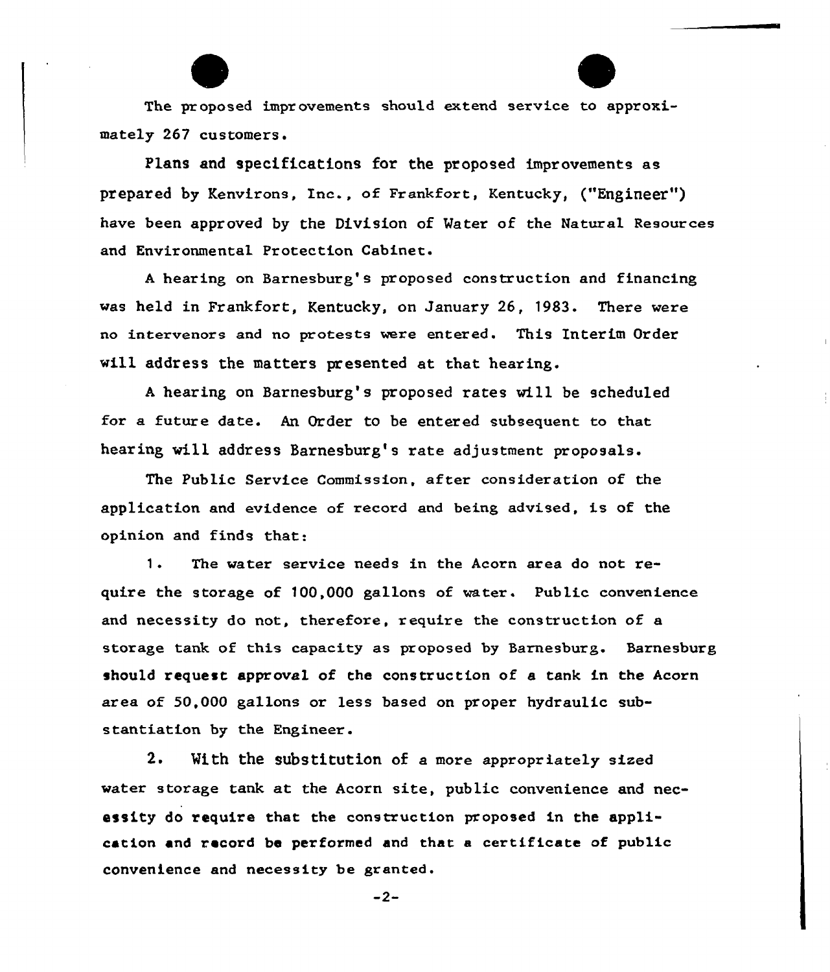The proposed improvements should extend service to approximately 267 customers.

Plans and specifications for the proposed improvements as prepared by Kenvirons, Inc., of Frankfort, Kentucky, ("Engineer") have been approved by the Division of Mater of the Natural Resources and Environmental Protection Cabinet.

<sup>A</sup> hearing on Barnesburg's proposed construction and financing was held in Frankfort, Kentucky, on January 26, 1983. There were no intervenors and no protests were entered. This Interim Order will address the matters presented at that hearing.

<sup>A</sup> heaxing on Barnesbux'g's proposed xates will be scheduled for a future date. An Order to be entered subsequent to that hearing will address Barnesburg's rate adjustment proposals.

The Public Service Commission, after consideration of the application and evidence of xecord and being advised, is of the opinion and finds that:

1. The water service needs in the Acorn area do not require the storage of  $100,000$  gallons of water. Public convenience and necessity do not, therefore, require the construction of a storage tank of this capacity as proposed by Sarnesburg. Sarnesburg should request approval of the constxuction of a tank in the Acorn area of 50,000 gallons or less based on proper hydraulic substantiation by the Engineer.

2. With the substitution of a more appropxiately sized water storage tank at the Acorn site, public convenience and necessity do require that the construction proposed in the application end record be performed and that a certificate of public convenience and necessity be granted.

 $-2-$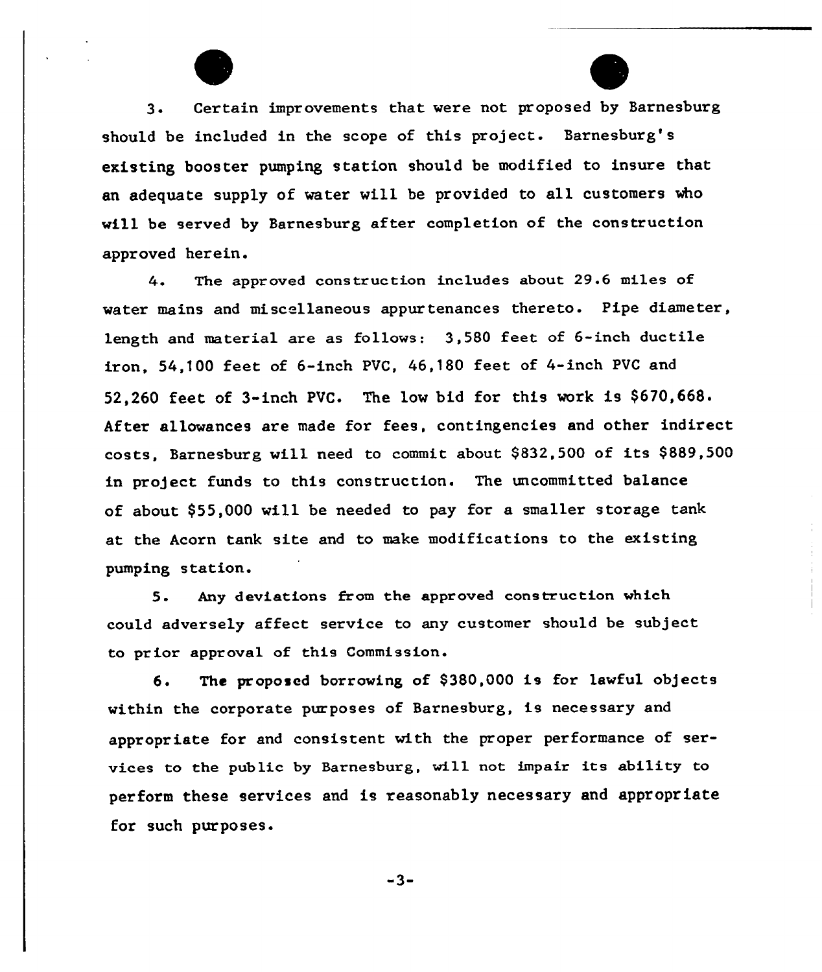3. Certain improvements that were not proposed by Barnesburg should be included in the scope of this project. Barnesburg's existing booster pumping station should be modified to insure that an adequate supply of water will be provided to all customers who will be served by Barnesburg after completion of the construction approved herein.

The approved construction includes about 29.6 miles of 4. water mains and miscellaneous appurtenances thereto. Pipe diameter, length and material are as follows: 3,580 feet of 6-inch ductile iron, 54,100 feet of 6-inch PVC, 46,180 feet of 4-inch PVC and 52,260 feet of 3-inch PVC. The low bid for this work is \$670,668. After allowances are made for fees, contingencies and other indirect costs, Barnesburg will need to commit about \$ 832,500 of its \$ 889,500 in project funds to this construction. The uncommitted balance of about 955,000 will be needed to pay for a smaller storage tank at the Acorn tank site and to make modifications to the existing pumping station.

5. Any deviations from the appr oved construction which could adversely affect service to any customer should be subject to prior approval of this Commission.

6. The proposed borrowing of \$380,000 is for lawful objects within the corporate purposes of Barnesburg, is necessary and appropriate for and consistent with the proper performance of services to the public by Earnesburg, will not impair its ability to perform these services and is reasonably necessary and appropriate for such purposes.

 $-3-$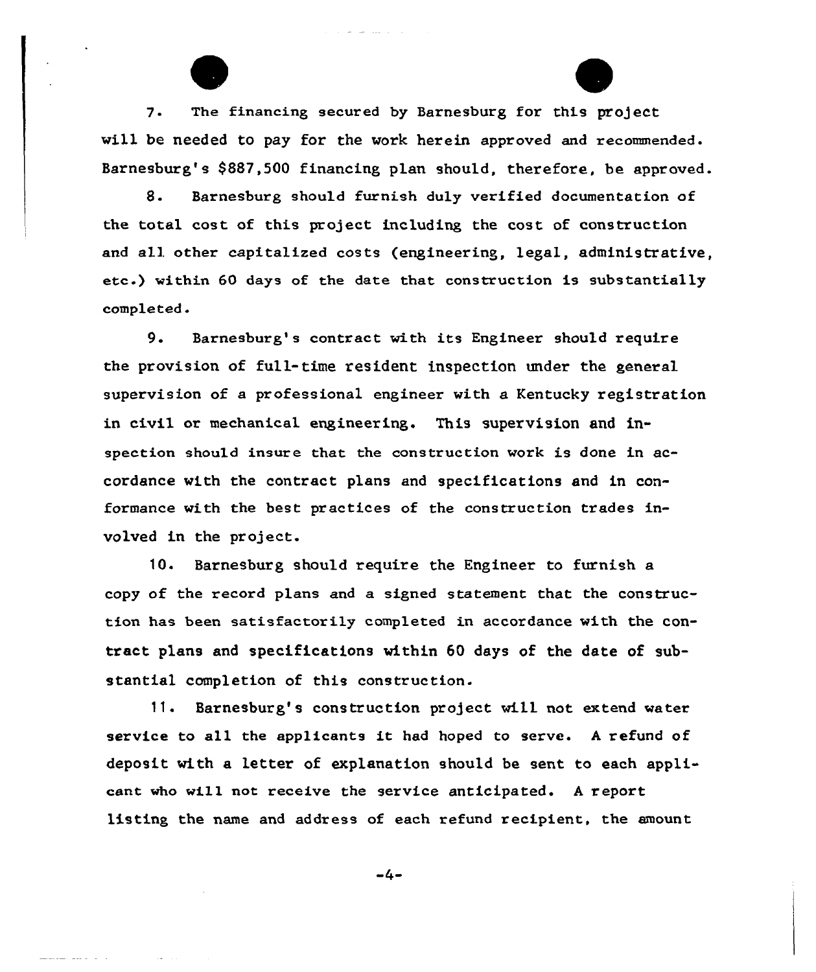7. The financing secured by Barnesburg for this project will be needed to pay for the work herein approved and recommended. Barnesburg's \$887,500 financing plan should, therefore, be approved.

8. Barnesburg should furnish duly verified documentation of the total cost of this project including the cost of construction and all other capitalized costs (engineering, legal, administrative, ete.} within 60 days of the date that construction is substantially completed.

9. Barnesburg's contract with its Engineer should require the provision of full-time resident inspection under the general supervision of a professional engineer with a Kentucky registration in civil or mechanical engineering. This supervision and inspection should insure that the construction work is done in accordance with the contract plans and specifications and in conformance with the best practices of the construction trades involved in the project.

10. Barnesburg should require the Engineer to furnish a copy of the record plans and a signed statement that the construction has been satisfactorily completed in accordance with the contract plans and specifications within 60 days of the date of substantial completion of this construction.

11. Barnesburg's construction project will not extend water service to all the applicants it had hoped to serve. <sup>A</sup> refund of deposit with a letter of explanation should be sent to each applicant who will not receive the service anticipated. <sup>A</sup> report listing the name and address of each refund recipient, the amount

 $-4-$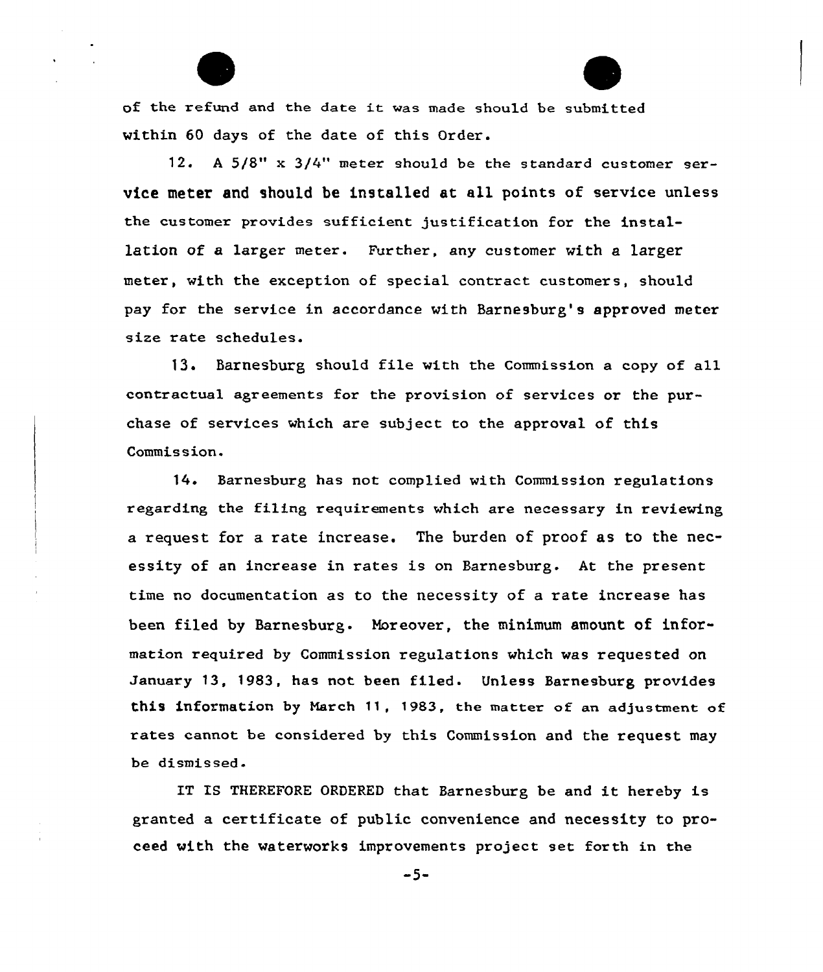of the refund and the date it was made should be submitted within 60 days of the date of this Order.

12. <sup>A</sup> 5/8" x 3/4" meter should be the standard customer service meter and should be installed at all points of service unless the customer provides sufficient justification for the installation of a larger meter. Further, any customer with a larger meter, with the exception of special contract customers, should pay for the service in accordance with Barnesburg's approved meter size rate schedules.

13. Barnesburg should file with the Commission a copy of all contractual agreements for the provision of services or the purchase of services which are subject to the approval of this Commis sion.

14. Barnesburg has not complied with Commission xegulations regarding the filing xequixements which are necessary in reviewing a request for a rate increase. The burden of proof as to the necessity of an increase in rates is on Barnesburg. At the present time no documentation as to the necessity of a rate incxease has been filed by Barnesburg. Moreover, the minimum amount of information required by Commission regulations which was requested on January 13, 1983, has not been filed. Unless Barnesburg provides this information by March 11, 1983, the matter of an adjustment of rates cannot be considered by this Commission and the request may be dismissed.

IT IS THEREFORE ORDERED that Barnesburg be and it hereby is granted a certificate of public convenience and necessity to proceed with the waterworks improvements project set forth in the

 $-5-$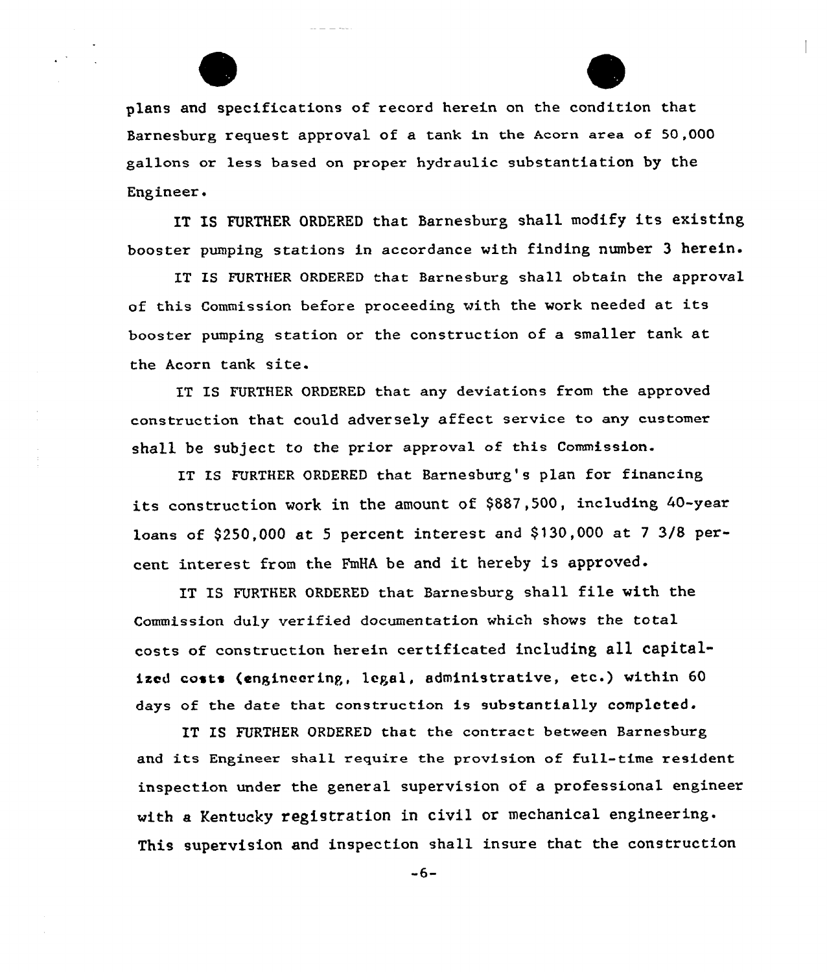

 $\sim$   $-$ 

IT IS FURTHER ORDERED that Barnesburg shall modify its existing, booster pumping stations in accordance with finding number 3 herein.

IT IS FURTHER ORDERED that Barnesburg shall obtain the approval of this Commission before proceeding with the work needed at its booster pumping station or the construction of a smaller tank at the Acorn tank site.

IT IS FURTHER ORDERED that any deviations from the approved construction that could adversely affect service to any customer shall be subject to the prior approval of this Commission.

IT IS FURTHER ORDERED that Barnesburg's plan for financing its construction work in the amount of \$887,500, including 40-year loans of \$250,000 at 5 percent interest and \$130,000 at 7 3/8 percent interest from the FmHA be and it hereby is approved.

IT IS FURTHER ORDERED that Barnesburg shall file with the Commission duly verified documentation which shows the total costs of construction herein certificated including all capitalized costs (engineering, legal, administrative, etc.) within 60 days of the date that construction is substantially completed.

IT IS FURTHER ORDERED that the contract between Barnesburg and its Engineer shall require the provision of full-time resident inspection under the general supervision of a professional engineer with a Kentucky registration in civil or mechanical engineering. This supervision and inspection shall insure that the construction

 $-6-$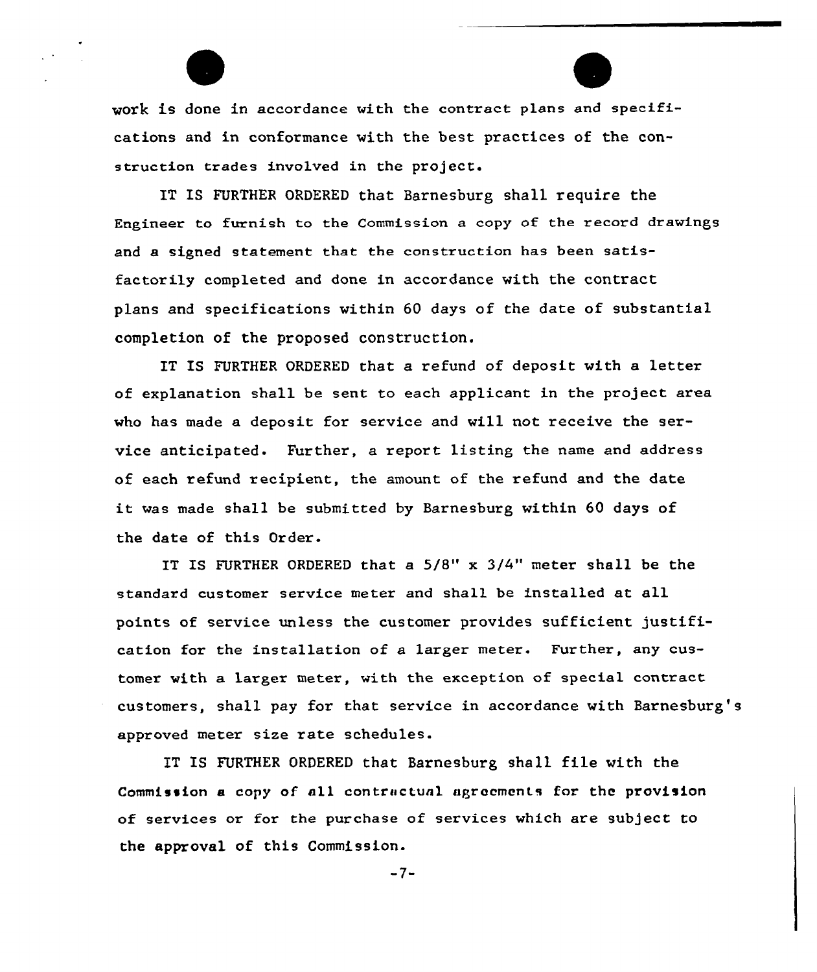work is done in accordance with the contract plans and specifications and in conformance with the best practices of the construction trades involved in the project.

IT IS FURTHER ORDERED that Barnesburg shall require the Engineer to furnish to the Commission a copy of the record drawings and a signed statement that the construction has been satisfactorily completed and done in accordance with the contract plans and specifications within 60 days of the date of substantial completion of the proposed construction.

IT IS FURTHER ORDERED that a refund of deposit with a letter of explanation shall be sent to each applicant in the project area who has made a deposit for service and will not receive the service anticipated. Further, a report listing the name and address of each refund recipient, the amount of the refund and the date it was made shall be submitted by Barnesburg within <sup>60</sup> days of the date of this Order.

IT IS FURTHER ORDERED that a 5/8" x 3/4" meter shall be the standard customer service meter and shall be installed at all points of service unless the customer provides sufficient justification for the installation of a larger meter. Further, any customer with a larger meter, with the exception of special contract customers, shall pay for that sexvice in accordance with Barnesburg's approved meter size rate schedules.

IT IS FURTHER ORDERED that Barnesburg shall file with the Commission e copy of all contrnctunl aprocments for the provision of services or for the purchase of services which are subject to the approval of this Commission.

 $-7-$